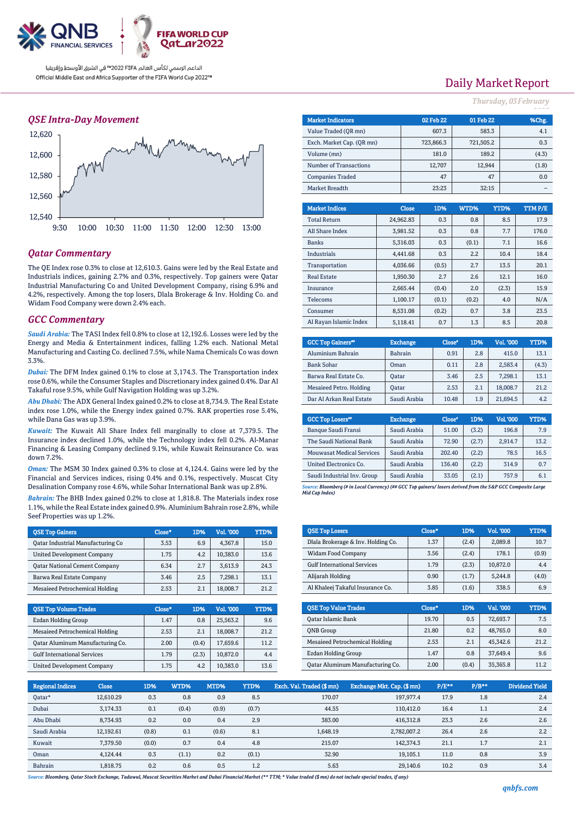

## *QSE Intra-Day Movement*



## *Qatar Commentary*

The QE Index rose 0.3% to close at 12,610.3. Gains were led by the Real Estate and Industrials indices, gaining 2.7% and 0.3%, respectively. Top gainers were Qatar Industrial Manufacturing Co and United Development Company, rising 6.9% and 4.2%, respectively. Among the top losers, Dlala Brokerage & Inv. Holding Co. and Widam Food Company were down 2.4% each.

### *GCC Commentary*

*Saudi Arabia:* The TASI Index fell 0.8% to close at 12,192.6. Losses were led by the Energy and Media & Entertainment indices, falling 1.2% each. National Metal Manufacturing and Casting Co. declined 7.5%, while Nama Chemicals Co was down 3.3%.

*Dubai:* The DFM Index gained 0.1% to close at 3,174.3. The Transportation index rose 0.6%, while the Consumer Staples and Discretionary index gained 0.4%. Dar Al Takaful rose 9.5%, while Gulf Navigation Holding was up 3.2%.

*Abu Dhabi:* The ADX General Index gained 0.2% to close at 8,734.9. The Real Estate index rose 1.0%, while the Energy index gained 0.7%. RAK properties rose 5.4%, while Dana Gas was up 3.9%.

*Kuwait:* The Kuwait All Share Index fell marginally to close at 7,379.5. The Insurance index declined 1.0%, while the Technology index fell 0.2%. Al-Manar Financing & Leasing Company declined 9.1%, while Kuwait Reinsurance Co. was down 7.2%.

*Oman:* The MSM 30 Index gained 0.3% to close at 4,124.4. Gains were led by the Financial and Services indices, rising 0.4% and 0.1%, respectively. Muscat City Desalination Company rose 4.6%, while Sohar International Bank was up 2.8%.

*Bahrain:* The BHB Index gained 0.2% to close at 1,818.8. The Materials index rose 1.1%, while the Real Estate index gained 0.9%. Aluminium Bahrain rose 2.8%, while Seef Properties was up 1.2%.

| <b>OSE Top Gainers</b>               | Close* | 1D%  | Vol. '000 | YTD% |
|--------------------------------------|--------|------|-----------|------|
| Qatar Industrial Manufacturing Co    | 3.53   | 6.9  | 4.367.8   | 15.0 |
| <b>United Development Company</b>    | 1.75   | 4.2. | 10.383.0  | 13.6 |
| <b>Qatar National Cement Company</b> | 6.34   | 2.7  | 3,613.9   | 24.3 |
| Barwa Real Estate Company            | 3.46   | 2.5  | 7.298.1   | 13.1 |
| Mesaieed Petrochemical Holding       | 2.53   | 2.1  | 18,008.7  | 21.2 |

| <b>OSE Top Volume Trades</b>       | Close* | 1D%   | Vol. '000 | YTD% |
|------------------------------------|--------|-------|-----------|------|
| Ezdan Holding Group                | 1.47   | 0.8   | 25.563.2  | 9.6  |
| Mesaieed Petrochemical Holding     | 2.53   | 2.1   | 18,008.7  | 21.2 |
| Qatar Aluminum Manufacturing Co.   | 2.00   | (0.4) | 17,659.6  | 11.2 |
| <b>Gulf International Services</b> | 1.79   | (2.3) | 10.872.0  | 4.4  |
| <b>United Development Company</b>  | 1.75   | 4.2   | 10.383.0  | 13.6 |

# Daily Market Report

*Thursday, 03February*

| <b>Market Indicators</b>  |  |              | 02 Feb 22 | 01 Feb 22 |        | %Chg.  |  |
|---------------------------|--|--------------|-----------|-----------|--------|--------|--|
| Value Traded (OR mn)      |  |              |           |           | 583.3  | 4.1    |  |
| Exch. Market Cap. (QR mn) |  |              | 723,866.3 | 721,505.2 |        | 0.3    |  |
| Volume (mn)               |  |              | 181.0     |           | 189.2  | (4.3)  |  |
| Number of Transactions    |  |              | 12,707    |           | 12,944 | (1.8)  |  |
| <b>Companies Traded</b>   |  |              | 47        |           | 47     | 0.0    |  |
| Market Breadth            |  | 23:23        |           |           | 32:15  |        |  |
|                           |  |              |           |           |        |        |  |
| <b>Market Indices</b>     |  | <b>Close</b> | 1D%       | WTD%      | YTD%   | TTMP/E |  |
| <b>Total Return</b>       |  | 24,962.83    | 0.3       | 0.8       | 8.5    | 17.9   |  |
| All Share Index           |  | 3,981.52     | 0.3       | 0.8       | 7.7    | 176.0  |  |
| <b>Banks</b>              |  | 5.316.03     | 0.3       | (0.1)     | 7.1    | 16.6   |  |
| <b>Industrials</b>        |  | 4.441.68     | 0.3       | 2.2       | 10.4   | 18.4   |  |
| Transportation            |  | 4.036.66     | (0.5)     | 2.7       | 13.5   | 20.1   |  |
| <b>Real Estate</b>        |  | 1,950.30     | 2.7       | 2.6       | 12.1   | 16.0   |  |
| Insurance                 |  | 2,665.44     | (0.4)     | 2.0       | (2.3)  | 15.9   |  |
| Telecoms                  |  | 1,100.17     | (0.1)     | (0.2)     | 4.0    | N/A    |  |
| Consumer                  |  | 8.531.08     | (0.2)     | 0.7       | 3.8    | 23.5   |  |
| Al Rayan Islamic Index    |  | 5.118.41     | 0.7       | 1.3       | 8.5    | 20.8   |  |

| <b>GCC Top Gainers</b> " | <b>Exchange</b> | Close* | 1D% | Vol. '000 | YTD%  |
|--------------------------|-----------------|--------|-----|-----------|-------|
| Aluminium Bahrain        | <b>Bahrain</b>  | 0.91   | 2.8 | 415.0     | 13.1  |
| <b>Bank Sohar</b>        | Oman            | 0.11   | 2.8 | 2.583.4   | (4.3) |
| Barwa Real Estate Co.    | Oatar           | 3.46   | 2.5 | 7,298.1   | 13.1  |
| Mesaieed Petro. Holding  | <b>Oatar</b>    | 2.53   | 2.1 | 18,008.7  | 21.2  |
| Dar Al Arkan Real Estate | Saudi Arabia    | 10.48  | 1.9 | 21.694.5  | 4.2   |

| <b>GCC Top Losers</b> "          | <b>Exchange</b> | Close <sup>®</sup> | 1D%   | <b>Vol.'000</b> | YTD% |
|----------------------------------|-----------------|--------------------|-------|-----------------|------|
| Banque Saudi Fransi              | Saudi Arabia    | 51.00              | (3.2) | 196.8           | 7.9  |
| The Saudi National Bank          | Saudi Arabia    | 72.90              | (2.7) | 2.914.7         | 13.2 |
| <b>Mouwasat Medical Services</b> | Saudi Arabia    | 202.40             | (2.2) | 78.5            | 16.5 |
| United Electronics Co.           | Saudi Arabia    | 136.40             | (2.2) | 314.9           | 0.7  |
| Saudi Industrial Inv. Group      | Saudi Arabia    | 33.05              | (2.1) | 757.9           | 6.1  |

*Source: Bloomberg (# in Local Currency) (## GCC Top gainers/ losers derived from the S&P GCC Composite Large Mid Cap Index)*

| <b>QSE Top Losers</b>              | $Close*$ | 1D%   | <b>Vol. '000</b> | YTD%  |
|------------------------------------|----------|-------|------------------|-------|
| Dlala Brokerage & Inv. Holding Co. | 1.37     | (2.4) | 2.089.8          | 10.7  |
| <b>Widam Food Company</b>          | 3.56     | (2.4) | 178.1            | (0.9) |
| <b>Gulf International Services</b> | 1.79     | (2.3) | 10.872.0         | 4.4   |
| Alijarah Holding                   | 0.90     | (1.7) | 5.244.8          | (4.0) |
| Al Khaleej Takaful Insurance Co.   | 3.85     | (1.6) | 338.5            | 6.9   |

| <b>OSE Top Value Trades</b>      | Close* | 1D%   | Val. '000 | YTD% |
|----------------------------------|--------|-------|-----------|------|
| Qatar Islamic Bank               | 19.70  | 0.5   | 72,693.7  | 7.5  |
| <b>ONB</b> Group                 | 21.80  | 0.2   | 48.765.0  | 8.0  |
| Mesaieed Petrochemical Holding   | 2.53   | 2.1   | 45.342.6  | 21.2 |
| Ezdan Holding Group              | 1.47   | 0.8   | 37.649.4  | 9.6  |
| Qatar Aluminum Manufacturing Co. | 2.00   | (0.4) | 35,365.8  | 11 2 |

| <b>Regional Indices</b> | <b>Close</b> | 1D%   | WTD%  | MTD%  | YTD%  | Exch. Val. Traded (\$mn) | Exchange Mkt. Cap. (\$mn) | $P/E***$ | $P/B**$ | <b>Dividend Yield</b> |
|-------------------------|--------------|-------|-------|-------|-------|--------------------------|---------------------------|----------|---------|-----------------------|
| Qatar*                  | 12.610.29    | 0.3   | 0.8   | 0.9   | 8.5   | 170.07                   | 197.977.4                 | 17.9     | 1.8     | 2.4                   |
| Dubai                   | 3.174.33     | 0.1   | (0.4) | (0.9) | (0.7) | 44.55                    | 110.412.0                 | 16.4     | 1.1     | 2.4                   |
| Abu Dhabi               | 8,734.93     | 0.2   | 0.0   | 0.4   | 2.9   | 383.00                   | 416,312.8                 | 23.3     | 2.6     | 2.6                   |
| Saudi Arabia            | 12.192.61    | (0.8) | 0.1   | (0.6) | 8.1   | 1.648.19                 | 2,782,007.2               | 26.4     | 2.6     | 2.2                   |
| Kuwait                  | 7.379.50     | (0.0) | 0.7   | 0.4   | 4.8   | 215.07                   | 142.374.3                 | 21.1     | 1.7     | 2.1                   |
| Oman                    | 4.124.44     | 0.3   | (1.1) | 0.2   | (0.1) | 32.90                    | 19.105.1                  | 11.0     | 0.8     | 3.9                   |
| Bahrain                 | 1.818.75     | 0.2   | 0.6   | 0.5   | 1.2   | 5.63                     | 29.140.6                  | 10.2     | 0.9     | 3.4                   |

*Source: Bloomberg, Qatar Stock Exchange, Tadawul, Muscat Securities Market and Dubai Financial Market (\*\* TTM; \* Value traded (\$ mn) do not include special trades, if any)*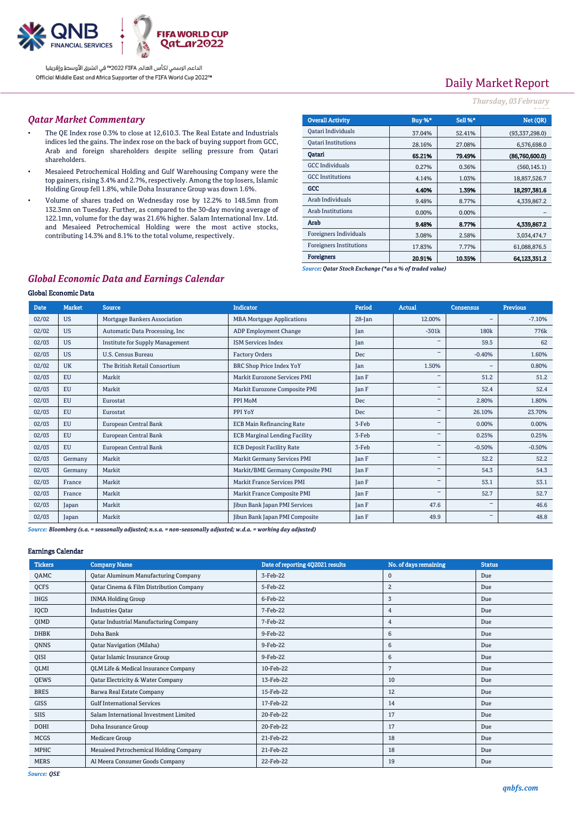

# Daily Market Report

### *Thursday, 03February*

#### *Qatar Market Commentary*

- The QE Index rose 0.3% to close at 12,610.3. The Real Estate and Industrials indices led the gains. The index rose on the back of buying support from GCC, Arab and foreign shareholders despite selling pressure from Qatari shareholders.
- Mesaieed Petrochemical Holding and Gulf Warehousing Company were the top gainers, rising 3.4% and 2.7%, respectively. Among the top losers, Islamic Holding Group fell 1.8%, while Doha Insurance Group was down 1.6%.
- Volume of shares traded on Wednesday rose by 12.2% to 148.5mn from 132.3mn on Tuesday. Further, as compared to the 30-day moving average of 122.1mn, volume for the day was 21.6% higher. Salam International Inv. Ltd. and Mesaieed Petrochemical Holding were the most active stocks, contributing 14.3% and 8.1% to the total volume, respectively.

| Buy %*   | Sell %* | Net (QR)       |
|----------|---------|----------------|
| 37.04%   | 52.41%  | (93,337,298.0) |
| 28.16%   | 27.08%  | 6,576,698.0    |
| 65.21%   | 79.49%  | (86,760,600.0) |
| 0.27%    | 0.36%   | (560, 145.1)   |
| 4.14%    | 1.03%   | 18,857,526.7   |
| 4.40%    | 1.39%   | 18,297,381.6   |
| 9.48%    | 8.77%   | 4,339,867.2    |
| $0.00\%$ | 0.00%   |                |
| 9.48%    | 8.77%   | 4.339.867.2    |
| 3.08%    | 2.58%   | 3.034.474.7    |
| 17.83%   | 7.77%   | 61.088.876.5   |
| 20.91%   | 10.35%  | 64.123,351.2   |
|          |         |                |

*Source: Qatar Stock Exchange (\*as a % of traded value)*

## *Global Economic Data and Earnings Calendar*

#### Global Economic Data

| <b>Date</b> | <b>Market</b> | <b>Source</b>                          | <b>Indicator</b>                     | Period       | Actual                   | <b>Consensus</b>         | <b>Previous</b> |
|-------------|---------------|----------------------------------------|--------------------------------------|--------------|--------------------------|--------------------------|-----------------|
| 02/02       | <b>US</b>     | Mortgage Bankers Association           | <b>MBA Mortgage Applications</b>     | $28$ -Jan    | 12.00%                   | $\overline{\phantom{a}}$ | $-7.10%$        |
| 02/02       | <b>US</b>     | Automatic Data Processing, Inc.        | <b>ADP Employment Change</b>         | Jan          | $-301k$                  | 180 <sub>k</sub>         | 776k            |
| 02/03       | <b>US</b>     | <b>Institute for Supply Management</b> | <b>ISM Services Index</b>            | Jan          |                          | 59.5                     | 62              |
| 02/03       | <b>US</b>     | U.S. Census Bureau                     | <b>Factory Orders</b>                | Dec          |                          | $-0.40%$                 | 1.60%           |
| 02/02       | <b>UK</b>     | The British Retail Consortium          | <b>BRC Shop Price Index YoY</b>      | Jan          | 1.50%                    | $\overline{\phantom{m}}$ | 0.80%           |
| 02/03       | <b>EU</b>     | Markit                                 | Markit Eurozone Services PMI         | Jan F        |                          | 51.2                     | 51.2            |
| 02/03       | <b>EU</b>     | Markit                                 | Markit Eurozone Composite PMI        | Jan F        | $\overline{\phantom{a}}$ | 52.4                     | 52.4            |
| 02/03       | <b>EU</b>     | Eurostat                               | PPI MoM                              | Dec          |                          | 2.80%                    | 1.80%           |
| 02/03       | EU            | Eurostat                               | PPI YoY                              | <b>Dec</b>   |                          | 26.10%                   | 23.70%          |
| 02/03       | <b>EU</b>     | European Central Bank                  | <b>ECB Main Refinancing Rate</b>     | 3-Feb        |                          | 0.00%                    | 0.00%           |
| 02/03       | <b>EU</b>     | European Central Bank                  | <b>ECB Marginal Lending Facility</b> | 3-Feb        | $\overline{\phantom{m}}$ | 0.25%                    | 0.25%           |
| 02/03       | <b>EU</b>     | European Central Bank                  | <b>ECB Deposit Facility Rate</b>     | 3-Feb        |                          | $-0.50%$                 | $-0.50%$        |
| 02/03       | Germany       | Markit                                 | Markit Germany Services PMI          | Jan F        | -                        | 52.2                     | 52.2            |
| 02/03       | Germany       | Markit                                 | Markit/BME Germany Composite PMI     | Jan F        |                          | 54.3                     | 54.3            |
| 02/03       | France        | Markit                                 | Markit France Services PMI           | Jan F        |                          | 53.1                     | 53.1            |
| 02/03       | France        | Markit                                 | Markit France Composite PMI          | Jan F        | $\overline{\phantom{m}}$ | 52.7                     | 52.7            |
| 02/03       | Japan         | Markit                                 | Jibun Bank Japan PMI Services        | Jan F        | 47.6                     | $\overline{\phantom{0}}$ | 46.6            |
| 02/03       | Japan         | Markit                                 | Jibun Bank Japan PMI Composite       | <b>Tan F</b> | 49.9                     | $\overline{\phantom{a}}$ | 48.8            |

*Source: Bloomberg (s.a. = seasonally adjusted; n.s.a. = non-seasonally adjusted; w.d.a. = working day adjusted)*

#### Earnings Calendar

| <b>Tickers</b> | <b>Company Name</b>                           | Date of reporting 4Q2021 results | No. of days remaining | <b>Status</b> |
|----------------|-----------------------------------------------|----------------------------------|-----------------------|---------------|
| QAMC           | <b>Qatar Aluminum Manufacturing Company</b>   | 3-Feb-22                         | $\mathbf{0}$          | Due           |
| QCFS           | Qatar Cinema & Film Distribution Company      | 5-Feb-22                         | $\overline{2}$        | Due           |
| <b>IHGS</b>    | <b>INMA Holding Group</b>                     | 6-Feb-22                         | 3                     | Due           |
| IQCD           | <b>Industries Qatar</b>                       | 7-Feb-22                         | 4                     | Due           |
| QIMD           | <b>Qatar Industrial Manufacturing Company</b> | 7-Feb-22                         | $\overline{4}$        | Due           |
| <b>DHBK</b>    | Doha Bank                                     | 9-Feb-22                         | 6                     | Due           |
| QNNS           | <b>Qatar Navigation (Milaha)</b>              | 9-Feb-22                         | 6                     | Due           |
| QISI           | Qatar Islamic Insurance Group                 | 9-Feb-22                         | 6                     | Due           |
| QLMI           | QLM Life & Medical Insurance Company          | 10-Feb-22                        | 7                     | Due           |
| QEWS           | Qatar Electricity & Water Company             | 13-Feb-22                        | 10                    | Due           |
| <b>BRES</b>    | Barwa Real Estate Company                     | 15-Feb-22                        | 12                    | Due           |
| <b>GISS</b>    | <b>Gulf International Services</b>            | 17-Feb-22                        | 14                    | Due           |
| <b>SIIS</b>    | Salam International Investment Limited        | 20-Feb-22                        | 17                    | Due           |
| <b>DOHI</b>    | Doha Insurance Group                          | 20-Feb-22                        | 17                    | Due           |
| <b>MCGS</b>    | Medicare Group                                | 21-Feb-22                        | 18                    | Due           |
| MPHC           | Mesaieed Petrochemical Holding Company        | 21-Feb-22                        | 18                    | Due           |
| <b>MERS</b>    | Al Meera Consumer Goods Company               | 22-Feb-22                        | 19                    | Due           |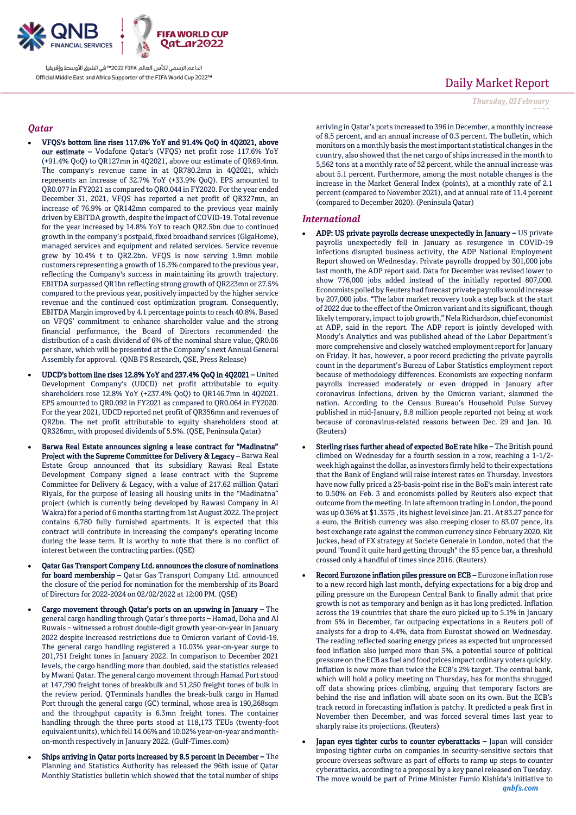

## *Qatar*

- VFQS's bottom line rises 117.6% YoY and 91.4% QoQ in 4Q2021, above our estimate – Vodafone Qatar's (VFQS) net profit rose 117.6% YoY (+91.4% QoQ) to QR127mn in 4Q2021, above our estimate of QR69.4mn. The company's revenue came in at QR780.2mn in 4Q2021, which represents an increase of 32.7% YoY (+33.9% QoQ). EPS amounted to QR0.077 in FY2021 as compared to QR0.044 in FY2020. For the year ended December 31, 2021, VFQS has reported a net profit of QR327mn, an increase of 76.9% or QR142mn compared to the previous year mainly driven by EBITDA growth, despite the impact of COVID-19. Total revenue for the year increased by 14.8% YoY to reach QR2.5bn due to continued growth in the company's postpaid, fixed broadband services (GigaHome), managed services and equipment and related services. Service revenue grew by 10.4% t to QR2.2bn. VFQS is now serving 1.9mn mobile customers representing a growth of 16.3% compared to the previous year, reflecting the Company's success in maintaining its growth trajectory. EBITDA surpassed QR1bn reflecting strong growth of QR223mn or 27.5% compared to the previous year, positively impacted by the higher service revenue and the continued cost optimization program. Consequently, EBITDA Margin improved by 4.1 percentage points to reach 40.8%. Based on VFQS' commitment to enhance shareholder value and the strong financial performance, the Board of Directors recommended the distribution of a cash dividend of 6% of the nominal share value, QR0.06 per share, which will be presented at the Company's next Annual General Assembly for approval. (QNB FS Research, QSE, Press Release)
- UDCD's bottom line rises 12.8% YoY and 237.4% QoQ in 4Q2021 United Development Company's (UDCD) net profit attributable to equity shareholders rose 12.8% YoY (+237.4% QoQ) to QR146.7mn in 4Q2021. EPS amounted to QR0.092 in FY2021 as compared to QR0.064 in FY2020. For the year 2021, UDCD reported net profit of QR356mn and revenues of QR2bn. The net profit attributable to equity shareholders stood at QR326mn, with proposed dividends of 5.5%. (QSE, Peninsula Qatar)
- Barwa Real Estate announces signing a lease contract for "Madinatna" Project with the Supreme Committee for Delivery & Legacy – Barwa Real Estate Group announced that its subsidiary Rawasi Real Estate Development Company signed a lease contract with the Supreme Committee for Delivery & Legacy, with a value of 217.62 million Qatari Riyals, for the purpose of leasing all housing units in the "Madinatna" project (which is currently being developed by Rawasi Company in Al Wakra) for a period of 6 months starting from 1st August 2022. The project contains 6,780 fully furnished apartments. It is expected that this contract will contribute in increasing the company's operating income during the lease term. It is worthy to note that there is no conflict of interest between the contracting parties. (QSE)
- Qatar Gas Transport Company Ltd. announces the closure of nominations for board membership – Qatar Gas Transport Company Ltd. announced the closure of the period for nomination for the membership of its Board of Directors for 2022-2024 on 02/02/2022 at 12:00 PM. (QSE)
- Cargo movement through Qatar's ports on an upswing in January The general cargo handling through Qatar's three ports – Hamad, Doha and Al Ruwais – witnessed a robust double-digit growth year-on-year in January 2022 despite increased restrictions due to Omicron variant of Covid-19. The general cargo handling registered a 10.03% year-on-year surge to 201,751 freight tones in January 2022. In comparison to December 2021 levels, the cargo handling more than doubled, said the statistics released by Mwani Qatar. The general cargo movement through Hamad Port stood at 147,790 freight tones of breakbulk and 51,250 freight tones of bulk in the review period. QTerminals handles the break-bulk cargo in Hamad Port through the general cargo (GC) terminal, whose area is 190,268sqm and the throughput capacity is 6.3mn freight tones. The container handling through the three ports stood at 118,173 TEUs (twenty-foot equivalent units), which fell 14.06% and 10.02% year-on-year and monthon-month respectively in January 2022. (Gulf-Times.com)
- Ships arriving in Qatar ports increased by 8.5 percent in December The Planning and Statistics Authority has released the 96th issue of Qatar Monthly Statistics bulletin which showed that the total number of ships

# Daily Market Report

*Thursday, 03February*

*2022*

arriving in Qatar's ports increased to 396 in December, a monthly increase of 8.5 percent, and an annual increase of 0.3 percent. The bulletin, which monitors on a monthly basis the most important statistical changes in the country, also showed that the net cargo of ships increased in the month to 5,562 tons at a monthly rate of 52 percent, while the annual increase was about 5.1 percent. Furthermore, among the most notable changes is the increase in the Market General Index (points), at a monthly rate of 2.1 percent (compared to November 2021), and at annual rate of 11.4 percent (compared to December 2020). (Peninsula Qatar)

### *International*

- ADP: US private payrolls decrease unexpectedly in January US private payrolls unexpectedly fell in January as resurgence in COVID-19 infections disrupted business activity, the ADP National Employment Report showed on Wednesday. Private payrolls dropped by 301,000 jobs last month, the ADP report said. Data for December was revised lower to show 776,000 jobs added instead of the initially reported 807,000. Economists polled by Reuters had forecast private payrolls would increase by 207,000 jobs. "The labor market recovery took a step back at the start of 2022 due to the effect of the Omicron variant and its significant, though likely temporary, impact to job growth," Nela Richardson, chief economist at ADP, said in the report. The ADP report is jointly developed with Moody's Analytics and was published ahead of the Labor Department's more comprehensive and closely watched employment report for January on Friday. It has, however, a poor record predicting the private payrolls count in the department's Bureau of Labor Statistics employment report because of methodology differences. Economists are expecting nonfarm payrolls increased moderately or even dropped in January after coronavirus infections, driven by the Omicron variant, slammed the nation. According to the Census Bureau's Household Pulse Survey published in mid-January, 8.8 million people reported not being at work because of coronavirus-related reasons between Dec. 29 and Jan. 10. (Reuters)
- Sterling rises further ahead of expected BoE rate hike The British pound climbed on Wednesday for a fourth session in a row, reaching a 1-1/2 week high against the dollar, as investors firmly held to their expectations that the Bank of England will raise interest rates on Thursday. Investors have now fully priced a 25-basis-point rise in the BoE's main interest rate to 0.50% on Feb. 3 and economists polled by Reuters also expect that outcome from the meeting. In late afternoon trading in London, the pound was up 0.36% at \$1.3575 , its highest level since Jan. 21. At 83.27 pence for a euro, the British currency was also creeping closer to 83.07 pence, its best exchange rate against the common currency since February 2020. Kit Juckes, head of FX strategy at Societe Generale in London, noted that the pound "found it quite hard getting through" the 83 pence bar, a threshold crossed only a handful of times since 2016. (Reuters)
- Record Eurozone inflation piles pressure on ECB Eurozone inflation rose to a new record high last month, defying expectations for a big drop and piling pressure on the European Central Bank to finally admit that price growth is not as temporary and benign as it has long predicted. Inflation across the 19 countries that share the euro picked up to 5.1% in January from 5% in December, far outpacing expectations in a Reuters poll of analysts for a drop to 4.4%, data from Eurostat showed on Wednesday. The reading reflected soaring energy prices as expected but unprocessed food inflation also jumped more than 5%, a potential source of political pressure on the ECB as fuel and food prices impact ordinary voters quickly. Inflation is now more than twice the ECB's 2% target. The central bank, which will hold a policy meeting on Thursday, has for months shrugged off data showing prices climbing, arguing that temporary factors are behind the rise and inflation will abate soon on its own. But the ECB's track record in forecasting inflation is patchy. It predicted a peak first in November then December, and was forced several times last year to sharply raise its projections. (Reuters)
- *qnbfs.com* Japan eyes tighter curbs to counter cyberattacks - Japan will consider imposing tighter curbs on companies in security-sensitive sectors that procure overseas software as part of efforts to ramp up steps to counter cyberattacks, according to a proposal by a key panel released on Tuesday. The move would be part of Prime Minister Fumio Kishida's initiative to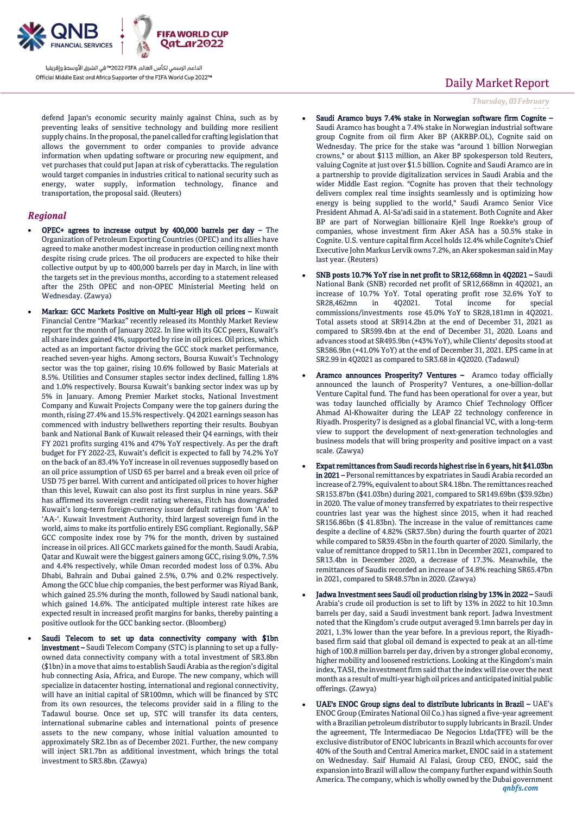

defend Japan's economic security mainly against China, such as by preventing leaks of sensitive technology and building more resilient supply chains. In the proposal, the panel called for crafting legislation that allows the government to order companies to provide advance information when updating software or procuring new equipment, and vet purchases that could put Japan at risk of cyberattacks. The regulation would target companies in industries critical to national security such as energy, water supply, information technology, finance and transportation, the proposal said. (Reuters)

### *Regional*

- OPEC+ agrees to increase output by 400,000 barrels per day The Organization of Petroleum Exporting Countries (OPEC) and its allies have agreed to make another modest increase in production ceiling next month despite rising crude prices. The oil producers are expected to hike their collective output by up to 400,000 barrels per day in March, in line with the targets set in the previous months, according to a statement released after the 25th OPEC and non-OPEC Ministerial Meeting held on Wednesday. (Zawya)
- Markaz: GCC Markets Positive on Multi-year High oil prices Kuwait Financial Centre "Markaz" recently released its Monthly Market Review report for the month of January 2022. In line with its GCC peers, Kuwait's all share index gained 4%, supported by rise in oil prices. Oil prices, which acted as an important factor driving the GCC stock market performance, reached seven-year highs. Among sectors, Boursa Kuwait's Technology sector was the top gainer, rising 10.6% followed by Basic Materials at 8.5%. Utilities and Consumer staples sector index declined, falling 1.8% and 1.0% respectively. Boursa Kuwait's banking sector index was up by 5% in January. Among Premier Market stocks, National Investment Company and Kuwait Projects Company were the top gainers during the month, rising 27.4% and 15.5% respectively. Q4 2021 earnings season has commenced with industry bellwethers reporting their results. Boubyan bank and National Bank of Kuwait released their Q4 earnings, with their FY 2021 profits surging 41% and 47% YoY respectively. As per the draft budget for FY 2022-23, Kuwait's deficit is expected to fall by 74.2% YoY on the back of an 83.4% YoY increase in oil revenues supposedly based on an oil price assumption of USD 65 per barrel and a break even oil price of USD 75 per barrel. With current and anticipated oil prices to hover higher than this level, Kuwait can also post its first surplus in nine years. S&P has affirmed its sovereign credit rating whereas, Fitch has downgraded Kuwait's long-term foreign-currency issuer default ratings from 'AA' to 'AA-'. Kuwait Investment Authority, third largest sovereign fund in the world, aims to make its portfolio entirely ESG compliant. Regionally, S&P GCC composite index rose by 7% for the month, driven by sustained increase in oil prices. All GCC markets gained for the month. Saudi Arabia, Qatar and Kuwait were the biggest gainers among GCC, rising 9.0%, 7.5% and 4.4% respectively, while Oman recorded modest loss of 0.3%. Abu Dhabi, Bahrain and Dubai gained 2.5%, 0.7% and 0.2% respectively. Among the GCC blue chip companies, the best performer was Riyad Bank, which gained 25.5% during the month, followed by Saudi national bank, which gained 14.6%. The anticipated multiple interest rate hikes are expected result in increased profit margins for banks, thereby painting a positive outlook for the GCC banking sector. (Bloomberg)
	- Saudi Telecom to set up data connectivity company with \$1bn investment – Saudi Telecom Company (STC) is planning to set up a fullyowned data connectivity company with a total investment of SR3.8bn (\$1bn) in a move that aims to establish Saudi Arabia as the region's digital hub connecting Asia, Africa, and Europe. The new company, which will specialize in datacenter hosting, international and regional connectivity, will have an initial capital of SR100mn, which will be financed by STC from its own resources, the telecoms provider said in a filing to the Tadawul bourse. Once set up, STC will transfer its data centers, international submarine cables and international points of presence assets to the new company, whose initial valuation amounted to approximately SR2.1bn as of December 2021. Further, the new company will inject SR1.7bn as additional investment, which brings the total investment to SR3.8bn. (Zawya)

# Daily Market Report

*Thursday, 03February*

- *2022* Saudi Aramco buys 7.4% stake in Norwegian software firm Cognite Saudi Aramco has bought a 7.4% stake in Norwegian industrial software group Cognite from oil firm Aker BP (AKRBP.OL), Cognite said on Wednesday. The price for the stake was "around 1 billion Norwegian crowns," or about \$113 million, an Aker BP spokesperson told Reuters, valuing Cognite at just over \$1.5 billion. Cognite and Saudi Aramco are in a partnership to provide digitalization services in Saudi Arabia and the wider Middle East region. "Cognite has proven that their technology delivers complex real time insights seamlessly and is optimizing how energy is being supplied to the world," Saudi Aramco Senior Vice President Ahmad A. Al-Sa'adi said in a statement. Both Cognite and Aker BP are part of Norwegian billionaire Kjell Inge Roekke's group of companies, whose investment firm Aker ASA has a 50.5% stake in Cognite. U.S. venture capital firm Accel holds 12.4% while Cognite's Chief Executive John Markus Lervik owns 7.2%, an Aker spokesman said in May last year. (Reuters)
- SNB posts 10.7% YoY rise in net profit to SR12,668mn in 4Q2021 Saudi National Bank (SNB) recorded net profit of SR12,668mn in 4Q2021, an increase of 10.7% YoY. Total operating profit rose 32.6% YoY to SR28,462mn in 4Q2021. Total income for special commissions/investments rose 45.0% YoY to SR28,181mn in 4Q2021. Total assets stood at SR914.2bn at the end of December 31, 2021 as compared to SR599.4bn at the end of December 31, 2020. Loans and advances stood at SR495.9bn (+43% YoY), while Clients' deposits stood at SR586.9bn (+41.0% YoY) at the end of December 31, 2021. EPS came in at SR2.99 in 4Q2021 as compared to SR3.68 in 4Q2020. (Tadawul)
- Aramco announces Prosperity7 Ventures Aramco today officially announced the launch of Prosperity7 Ventures, a one-billion-dollar Venture Capital fund. The fund has been operational for over a year, but was today launched officially by Aramco Chief Technology Officer Ahmad Al-Khowaiter during the LEAP 22 technology conference in Riyadh. Prosperity7 is designed as a global financial VC, with a long-term view to support the development of next-generation technologies and business models that will bring prosperity and positive impact on a vast scale. (Zawya)
- Expat remittances from Saudi records highest rise in 6 years, hit \$41.03bn in 2021 – Personal remittances by expatriates in Saudi Arabia recorded an increase of 2.79%, equivalent to about SR4.18bn. The remittances reached SR153.87bn (\$41.03bn) during 2021, compared to SR149.69bn (\$39.92bn) in 2020. The value of money transferred by expatriates to their respective countries last year was the highest since 2015, when it had reached SR156.86bn (\$ 41.83bn). The increase in the value of remittances came despite a decline of 4.82% (SR37.5bn) during the fourth quarter of 2021 while compared to SR39.45bn in the fourth quarter of 2020. Similarly, the value of remittance dropped to SR11.1bn in December 2021, compared to SR13.4bn in December 2020, a decrease of 17.3%. Meanwhile, the remittances of Saudis recorded an increase of 34.8% reaching SR65.47bn in 2021, compared to SR48.57bn in 2020. (Zawya)
- Jadwa Investment sees Saudi oil production rising by 13% in 2022 Saudi Arabia's crude oil production is set to lift by 13% in 2022 to hit 10.3mn barrels per day, said a Saudi investment bank report. Jadwa Investment noted that the Kingdom's crude output averaged 9.1mn barrels per day in 2021, 1.3% lower than the year before. In a previous report, the Riyadhbased firm said that global oil demand is expected to peak at an all-time high of 100.8 million barrels per day, driven by a stronger global economy, higher mobility and loosened restrictions. Looking at the Kingdom's main index, TASI, the investment firm said that the index will rise over the next month as a result of multi-year high oil prices and anticipated initial public offerings. (Zawya)
- UAE's ENOC Group signs deal to distribute lubricants in Brazil UAE's ENOC Group (Emirates National Oil Co.) has signed a five-year agreement with a Brazilian petroleum distributor to supply lubricants in Brazil. Under the agreement, Tfe Intermediacao De Negocios Ltda(TFE) will be the exclusive distributor of ENOC lubricants in Brazil which accounts for over 40% of the South and Central America market, ENOC said in a statement on Wednesday. Saif Humaid Al Falasi, Group CEO, ENOC, said the expansion into Brazil will allow the company further expand within South America. The company, which is wholly owned by the Dubai government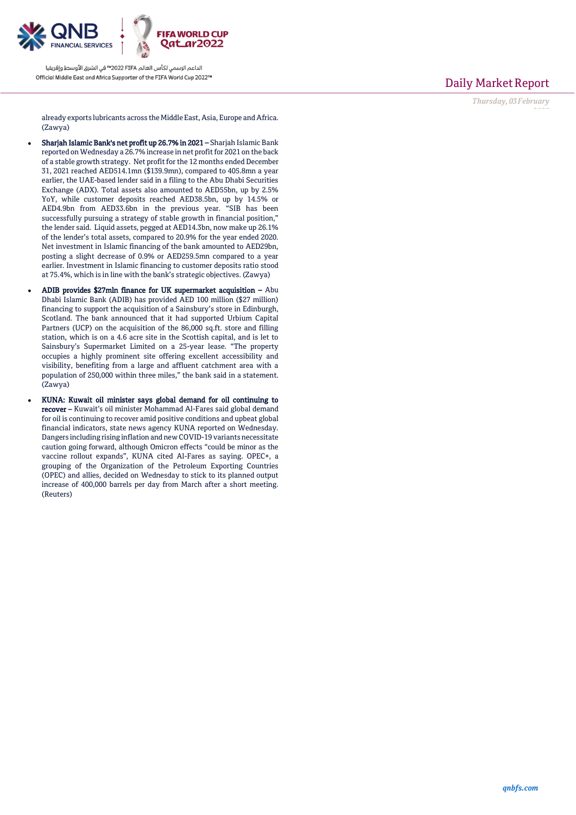

Daily Market Report

*Thursday, 03February*

*2022*

already exports lubricants across the Middle East, Asia, Europe and Africa. (Zawya)

- Sharjah Islamic Bank's net profit up 26.7% in 2021 Sharjah Islamic Bank reported on Wednesday a 26.7% increase in net profit for 2021 on the back of a stable growth strategy. Net profit for the 12 months ended December 31, 2021 reached AED514.1mn (\$139.9mn), compared to 405.8mn a year earlier, the UAE-based lender said in a filing to the Abu Dhabi Securities Exchange (ADX). Total assets also amounted to AED55bn, up by 2.5% YoY, while customer deposits reached AED38.5bn, up by 14.5% or AED4.9bn from AED33.6bn in the previous year. "SIB has been successfully pursuing a strategy of stable growth in financial position," the lender said. Liquid assets, pegged at AED14.3bn, now make up 26.1% of the lender's total assets, compared to 20.9% for the year ended 2020. Net investment in Islamic financing of the bank amounted to AED29bn, posting a slight decrease of 0.9% or AED259.5mn compared to a year earlier. Investment in Islamic financing to customer deposits ratio stood at 75.4%, which is in line with the bank's strategic objectives. (Zawya)
- ADIB provides \$27mln finance for UK supermarket acquisition Abu Dhabi Islamic Bank (ADIB) has provided AED 100 million (\$27 million) financing to support the acquisition of a Sainsbury's store in Edinburgh, Scotland. The bank announced that it had supported Urbium Capital Partners (UCP) on the acquisition of the 86,000 sq.ft. store and filling station, which is on a 4.6 acre site in the Scottish capital, and is let to Sainsbury's Supermarket Limited on a 25-year lease. "The property occupies a highly prominent site offering excellent accessibility and visibility, benefiting from a large and affluent catchment area with a population of 250,000 within three miles," the bank said in a statement. (Zawya)
- KUNA: Kuwait oil minister says global demand for oil continuing to recover – Kuwait's oil minister Mohammad Al-Fares said global demand for oil is continuing to recover amid positive conditions and upbeat global financial indicators, state news agency KUNA reported on Wednesday. Dangers including rising inflation and new COVID-19 variants necessitate caution going forward, although Omicron effects "could be minor as the vaccine rollout expands", KUNA cited Al-Fares as saying. OPEC+, a grouping of the Organization of the Petroleum Exporting Countries (OPEC) and allies, decided on Wednesday to stick to its planned output increase of 400,000 barrels per day from March after a short meeting. (Reuters)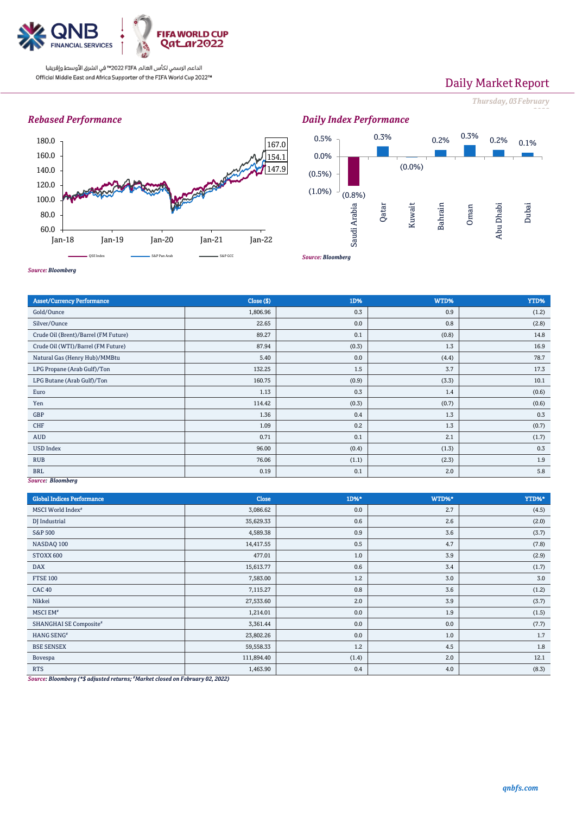

# Daily Market Report

*Thursday, 03February*

*2022*

## *Rebased Performance*



#### *Daily Index Performance* (0.8%) 0.3% (0.0%) 0.2% 0.3% 0.2% 0.1%  $(1.0\%)$ (0.5%) 0.0% 0.5% Saudi Arabia Qatar Kuwait Bahrain Oman Abu Dhabi Dubai

*Source: Bloomberg*

| <b>Asset/Currency Performance</b>    | Close (\$) | 1D%   | WTD%  | YTD%  |
|--------------------------------------|------------|-------|-------|-------|
| Gold/Ounce                           | 1,806.96   | 0.3   | 0.9   | (1.2) |
| Silver/Ounce                         | 22.65      | 0.0   | 0.8   | (2.8) |
| Crude Oil (Brent)/Barrel (FM Future) | 89.27      | 0.1   | (0.8) | 14.8  |
| Crude Oil (WTI)/Barrel (FM Future)   | 87.94      | (0.3) | 1.3   | 16.9  |
| Natural Gas (Henry Hub)/MMBtu        | 5.40       | 0.0   | (4.4) | 78.7  |
| LPG Propane (Arab Gulf)/Ton          | 132.25     | 1.5   | 3.7   | 17.3  |
| LPG Butane (Arab Gulf)/Ton           | 160.75     | (0.9) | (3.3) | 10.1  |
| Euro                                 | 1.13       | 0.3   | 1.4   | (0.6) |
| Yen                                  | 114.42     | (0.3) | (0.7) | (0.6) |
| GBP                                  | 1.36       | 0.4   | 1.3   | 0.3   |
| <b>CHF</b>                           | 1.09       | 0.2   | 1.3   | (0.7) |
| AUD                                  | 0.71       | 0.1   | 2.1   | (1.7) |
| <b>USD Index</b>                     | 96.00      | (0.4) | (1.3) | 0.3   |
| <b>RUB</b>                           | 76.06      | (1.1) | (2.3) | 1.9   |
| <b>BRL</b>                           | 0.19       | 0.1   | 2.0   | 5.8   |
| Correct Planmhorn                    |            |       |       |       |

*Source: Bloomberg*

### *Source: Bloomberg*

| <b>Global Indices Performance</b>                                              | Close                       | 1D%*  | WTD%* | YTD%* |
|--------------------------------------------------------------------------------|-----------------------------|-------|-------|-------|
| MSCI World Index <sup>#</sup>                                                  | 3,086.62                    | 0.0   | 2.7   | (4.5) |
| DJ Industrial                                                                  | 35,629.33                   | 0.6   | 2.6   | (2.0) |
| S&P 500                                                                        | 4,589.38                    | 0.9   | 3.6   | (3.7) |
| NASDAQ 100                                                                     | 14,417.55                   | 0.5   | 4.7   | (7.8) |
| STOXX 600                                                                      | 477.01                      | 1.0   | 3.9   | (2.9) |
| <b>DAX</b>                                                                     | 15,613.77                   | 0.6   | 3.4   | (1.7) |
| <b>FTSE 100</b>                                                                | 7,583.00                    | 1.2   | 3.0   | 3.0   |
| CAC <sub>40</sub>                                                              | 7,115.27                    | 0.8   | 3.6   | (1.2) |
| Nikkei                                                                         | 27,533.60                   | 2.0   | 3.9   | (3.7) |
| MSCI EM <sup>#</sup>                                                           | 1,214.01                    | 0.0   | 1.9   | (1.5) |
| SHANGHAI SE Composite#                                                         | 3,361.44                    | 0.0   | 0.0   | (7.7) |
| HANG SENG#                                                                     | 23,802.26                   | 0.0   | 1.0   | 1.7   |
| <b>BSE SENSEX</b>                                                              | 59,558.33                   | 1.2   | 4.5   | 1.8   |
| Bovespa                                                                        | 111,894.40                  | (1.4) | 2.0   | 12.1  |
| <b>RTS</b><br>$\mathbf{r}$ , and the set of $\mathbf{r}$<br>$\cdots$<br>$\sim$ | 1,463.90<br>$- - - - - - -$ | 0.4   | 4.0   | (8.3) |

*Source: Bloomberg (\*\$ adjusted returns; #Market closed on February 02, 2022)*